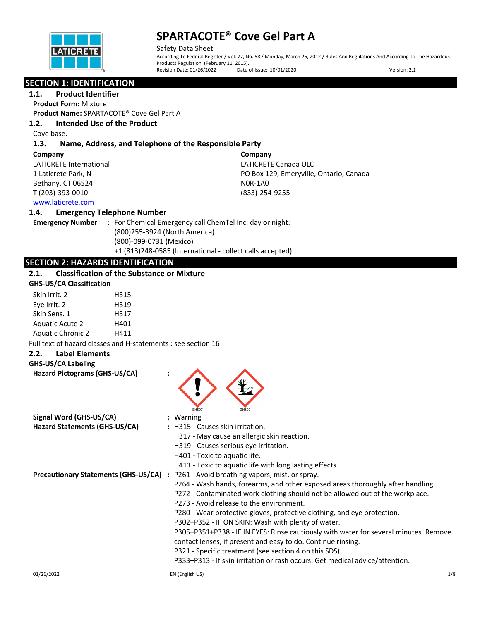

Safety Data Sheet According To Federal Register / Vol. 77, No. 58 / Monday, March 26, 2012 / Rules And Regulations And According To The Hazardous Products Regulation (February 11, 2015).<br>Revision Date: 01/26/2022 Date o Date of Issue: 10/01/2020 Version: 2.1

## **SECTION 1: IDENTIFICATION**

**1.1. Product Identifier Product Form:** Mixture

**Product Name:** SPARTACOTE® Cove Gel Part A

## **1.2. Intended Use of the Product**

Cove base.

## **1.3. Name, Address, and Telephone of the Responsible Party**

#### **Company**

LATICRETE International 1 Laticrete Park, N Bethany, CT 06524 T (203)-393-0010

**Company** LATICRETE Canada ULC PO Box 129, Emeryville, Ontario, Canada N0R-1A0 (833)-254-9255

## www.laticrete.com

### **1.4. Emergency Telephone Number**

**Emergency Number :** For Chemical Emergency call ChemTel Inc. day or night: (800)255-3924 (North America) (800)-099-0731 (Mexico) +1 (813)248-0585 (International - collect calls accepted)

## **SECTION 2: HAZARDS IDENTIFICATION**

## **2.1. Classification of the Substance or Mixture**

| <b>GHS-US/CA Classification</b> |  |
|---------------------------------|--|
|---------------------------------|--|

| Skin Irrit. 2            | H315 |
|--------------------------|------|
| Eye Irrit. 2             | H319 |
| Skin Sens. 1             | H317 |
| <b>Aquatic Acute 2</b>   | H401 |
| <b>Aquatic Chronic 2</b> | H411 |

**Hazard Pictograms (GHS-US/CA) :**

Full text of hazard classes and H-statements : see section 16

#### **2.2. Label Elements**

#### **GHS-US/CA Labeling**

| Signal Word (GHS-US/CA)       | GHS07<br>GHSO9<br>: Warning                                                           |
|-------------------------------|---------------------------------------------------------------------------------------|
| Hazard Statements (GHS-US/CA) | : H315 - Causes skin irritation.                                                      |
|                               | H317 - May cause an allergic skin reaction.                                           |
|                               | H319 - Causes serious eye irritation.                                                 |
|                               | H401 - Toxic to aquatic life.                                                         |
|                               | H411 - Toxic to aquatic life with long lasting effects.                               |
|                               | Precautionary Statements (GHS-US/CA) : P261 - Avoid breathing vapors, mist, or spray. |
|                               | P264 - Wash hands, forearms, and other exposed areas thoroughly after handling.       |
|                               | P272 - Contaminated work clothing should not be allowed out of the workplace.         |
|                               | P273 - Avoid release to the environment.                                              |
|                               | P280 - Wear protective gloves, protective clothing, and eye protection.               |
|                               | P302+P352 - IF ON SKIN: Wash with plenty of water.                                    |
|                               | P305+P351+P338 - IF IN EYES: Rinse cautiously with water for several minutes. Remove  |
|                               | contact lenses, if present and easy to do. Continue rinsing.                          |
|                               | P321 - Specific treatment (see section 4 on this SDS).                                |
|                               | P333+P313 - If skin irritation or rash occurs: Get medical advice/attention.          |
|                               |                                                                                       |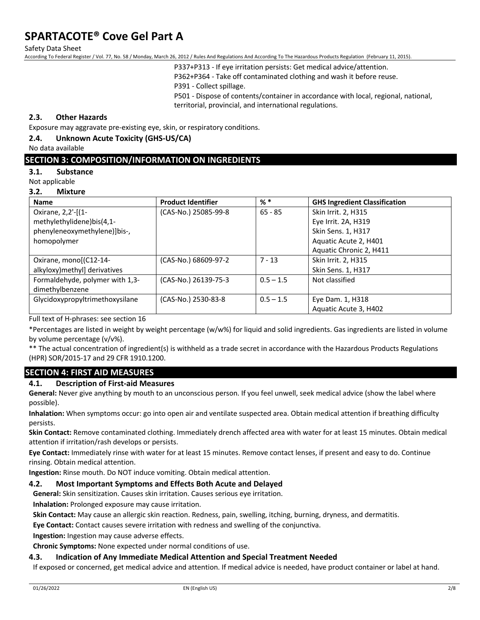Safety Data Sheet

According To Federal Register / Vol. 77, No. 58 / Monday, March 26, 2012 / Rules And Regulations And According To The Hazardous Products Regulation (February 11, 2015).

P337+P313 - If eye irritation persists: Get medical advice/attention.

P362+P364 - Take off contaminated clothing and wash it before reuse.

P391 - Collect spillage.

P501 - Dispose of contents/container in accordance with local, regional, national, territorial, provincial, and international regulations.

### **2.3. Other Hazards**

Exposure may aggravate pre-existing eye, skin, or respiratory conditions.

#### **2.4. Unknown Acute Toxicity (GHS-US/CA)**

No data available

### **SECTION 3: COMPOSITION/INFORMATION ON INGREDIENTS**

#### **3.1. Substance**

Not applicable

#### **3.2. Mixture**

| <b>Name</b>                     | <b>Product Identifier</b> | $%$ $*$     | <b>GHS Ingredient Classification</b> |
|---------------------------------|---------------------------|-------------|--------------------------------------|
| Oxirane, 2,2'-[(1-              | (CAS-No.) 25085-99-8      | $65 - 85$   | Skin Irrit. 2, H315                  |
| methylethylidene)bis(4,1-       |                           |             | Eye Irrit. 2A, H319                  |
| phenyleneoxymethylene)]bis-,    |                           |             | Skin Sens. 1, H317                   |
| homopolymer                     |                           |             | Aquatic Acute 2, H401                |
|                                 |                           |             | Aquatic Chronic 2, H411              |
| Oxirane, mono[(C12-14-          | (CAS-No.) 68609-97-2      | $7 - 13$    | Skin Irrit. 2, H315                  |
| alkyloxy)methyl] derivatives    |                           |             | Skin Sens. 1, H317                   |
| Formaldehyde, polymer with 1,3- | (CAS-No.) 26139-75-3      | $0.5 - 1.5$ | Not classified                       |
| dimethylbenzene                 |                           |             |                                      |
| Glycidoxypropyltrimethoxysilane | (CAS-No.) 2530-83-8       | $0.5 - 1.5$ | Eye Dam. 1, H318                     |
|                                 |                           |             | Aquatic Acute 3, H402                |

Full text of H-phrases: see section 16

\*Percentages are listed in weight by weight percentage (w/w%) for liquid and solid ingredients. Gas ingredients are listed in volume by volume percentage (v/v%).

\*\* The actual concentration of ingredient(s) is withheld as a trade secret in accordance with the Hazardous Products Regulations (HPR) SOR/2015-17 and 29 CFR 1910.1200.

## **SECTION 4: FIRST AID MEASURES**

#### **4.1. Description of First-aid Measures**

**General:** Never give anything by mouth to an unconscious person. If you feel unwell, seek medical advice (show the label where possible).

**Inhalation:** When symptoms occur: go into open air and ventilate suspected area. Obtain medical attention if breathing difficulty persists.

**Skin Contact:** Remove contaminated clothing. Immediately drench affected area with water for at least 15 minutes. Obtain medical attention if irritation/rash develops or persists.

**Eye Contact:** Immediately rinse with water for at least 15 minutes. Remove contact lenses, if present and easy to do. Continue rinsing. Obtain medical attention.

**Ingestion:** Rinse mouth. Do NOT induce vomiting. Obtain medical attention.

#### **4.2. Most Important Symptoms and Effects Both Acute and Delayed**

**General:** Skin sensitization. Causes skin irritation. Causes serious eye irritation.

**Inhalation:** Prolonged exposure may cause irritation.

**Skin Contact:** May cause an allergic skin reaction. Redness, pain, swelling, itching, burning, dryness, and dermatitis.

**Eye Contact:** Contact causes severe irritation with redness and swelling of the conjunctiva.

**Ingestion:** Ingestion may cause adverse effects.

**Chronic Symptoms:** None expected under normal conditions of use.

#### **4.3. Indication of Any Immediate Medical Attention and Special Treatment Needed**

If exposed or concerned, get medical advice and attention. If medical advice is needed, have product container or label at hand.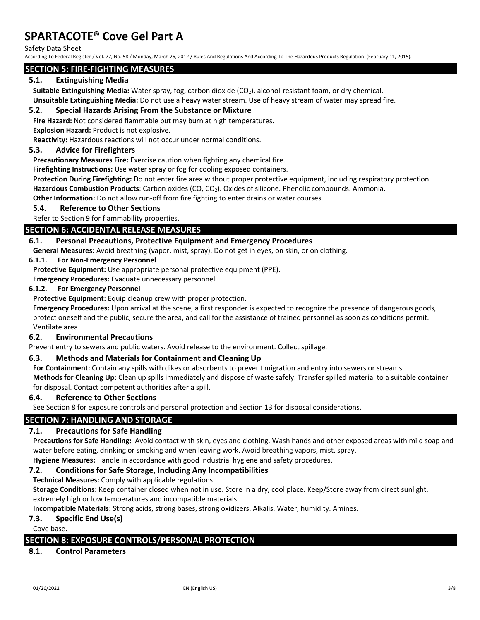Safety Data Sheet

According To Federal Register / Vol. 77, No. 58 / Monday, March 26, 2012 / Rules And Regulations And According To The Hazardous Products Regulation (February 11, 2015).

#### **SECTION 5: FIRE-FIGHTING MEASURES**

### **5.1. Extinguishing Media**

**Suitable Extinguishing Media:** Water spray, fog, carbon dioxide (CO<sub>2</sub>), alcohol-resistant foam, or dry chemical. **Unsuitable Extinguishing Media:** Do not use a heavy water stream. Use of heavy stream of water may spread fire.

### **5.2. Special Hazards Arising From the Substance or Mixture**

**Fire Hazard:** Not considered flammable but may burn at high temperatures.

**Explosion Hazard:** Product is not explosive.

**Reactivity:** Hazardous reactions will not occur under normal conditions.

#### **5.3. Advice for Firefighters**

**Precautionary Measures Fire:** Exercise caution when fighting any chemical fire.

**Firefighting Instructions:** Use water spray or fog for cooling exposed containers.

**Protection During Firefighting:** Do not enter fire area without proper protective equipment, including respiratory protection. Hazardous Combustion Products: Carbon oxides (CO, CO<sub>2</sub>). Oxides of silicone. Phenolic compounds. Ammonia.

**Other Information:** Do not allow run-off from fire fighting to enter drains or water courses.

**5.4. Reference to Other Sections**

### Refer to Section 9 for flammability properties.

## **SECTION 6: ACCIDENTAL RELEASE MEASURES**

#### **6.1. Personal Precautions, Protective Equipment and Emergency Procedures**

**General Measures:** Avoid breathing (vapor, mist, spray). Do not get in eyes, on skin, or on clothing.

#### **6.1.1. For Non-Emergency Personnel**

**Protective Equipment:** Use appropriate personal protective equipment (PPE).

**Emergency Procedures:** Evacuate unnecessary personnel.

#### **6.1.2. For Emergency Personnel**

**Protective Equipment:** Equip cleanup crew with proper protection.

**Emergency Procedures:** Upon arrival at the scene, a first responder is expected to recognize the presence of dangerous goods, protect oneself and the public, secure the area, and call for the assistance of trained personnel as soon as conditions permit. Ventilate area.

#### **6.2. Environmental Precautions**

Prevent entry to sewers and public waters. Avoid release to the environment. Collect spillage.

### **6.3. Methods and Materials for Containment and Cleaning Up**

**For Containment:** Contain any spills with dikes or absorbents to prevent migration and entry into sewers or streams.

**Methods for Cleaning Up:** Clean up spills immediately and dispose of waste safely. Transfer spilled material to a suitable container for disposal. Contact competent authorities after a spill.

### **6.4. Reference to Other Sections**

See Section 8 for exposure controls and personal protection and Section 13 for disposal considerations.

#### **SECTION 7: HANDLING AND STORAGE**

#### **7.1. Precautions for Safe Handling**

**Precautions for Safe Handling:** Avoid contact with skin, eyes and clothing. Wash hands and other exposed areas with mild soap and water before eating, drinking or smoking and when leaving work. Avoid breathing vapors, mist, spray.

**Hygiene Measures:** Handle in accordance with good industrial hygiene and safety procedures.

### **7.2. Conditions for Safe Storage, Including Any Incompatibilities**

**Technical Measures:** Comply with applicable regulations.

**Storage Conditions:** Keep container closed when not in use. Store in a dry, cool place. Keep/Store away from direct sunlight, extremely high or low temperatures and incompatible materials.

**Incompatible Materials:** Strong acids, strong bases, strong oxidizers. Alkalis. Water, humidity. Amines.

#### **7.3. Specific End Use(s)**

Cove base.

## **SECTION 8: EXPOSURE CONTROLS/PERSONAL PROTECTION**

### **8.1. Control Parameters**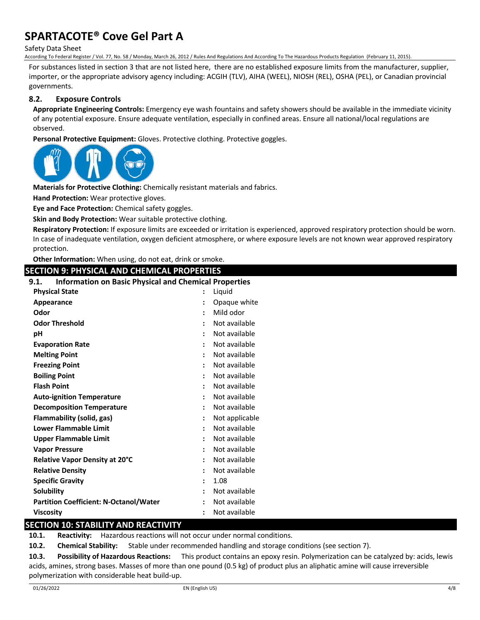Safety Data Sheet

According To Federal Register / Vol. 77, No. 58 / Monday, March 26, 2012 / Rules And Regulations And According To The Hazardous Products Regulation (February 11, 2015).

For substances listed in section 3 that are not listed here, there are no established exposure limits from the manufacturer, supplier, importer, or the appropriate advisory agency including: ACGIH (TLV), AIHA (WEEL), NIOSH (REL), OSHA (PEL), or Canadian provincial governments.

## **8.2. Exposure Controls**

**Appropriate Engineering Controls:** Emergency eye wash fountains and safety showers should be available in the immediate vicinity of any potential exposure. Ensure adequate ventilation, especially in confined areas. Ensure all national/local regulations are observed.

**Personal Protective Equipment:** Gloves. Protective clothing. Protective goggles.



**Materials for Protective Clothing:** Chemically resistant materials and fabrics.

**Hand Protection:** Wear protective gloves.

**Eye and Face Protection:** Chemical safety goggles.

**Skin and Body Protection:** Wear suitable protective clothing.

**Respiratory Protection:** If exposure limits are exceeded or irritation is experienced, approved respiratory protection should be worn. In case of inadequate ventilation, oxygen deficient atmosphere, or where exposure levels are not known wear approved respiratory protection.

**Other Information:** When using, do not eat, drink or smoke.

## **SECTION 9: PHYSICAL AND CHEMICAL PROPERTIES 9.1. Information on Basic Physical and Chemical Properties Physical State :** Liquid **Appearance :** Opaque white **Odor :** Mild odor **Odor Threshold :** Not available **pH :** Not available **Evaporation Rate :** Not available **Melting Point :** Not available **Freezing Point :** Not available **Boiling Point :** Not available **Flash Point :** Not available **Auto-ignition Temperature :** Not available **Decomposition Temperature 1988 :** Not available **Flammability (solid, gas) :** Not applicable **Lower Flammable Limit :** Not available **Upper Flammable Limit by Community Community Community Community Community Community Community Community Community Community Community Community Community Community Community Community Community Community Community Comm Vapor Pressure :** Not available **Relative Vapor Density at 20°C :** Not available **Relative Density :** Not available **Specific Gravity :** 1.08 **Solubility :** Not available **Partition Coefficient: N-Octanol/Water :** Not available **Viscosity :** Not available

## **SECTION 10: STABILITY AND REACTIVITY**

**10.1. Reactivity:** Hazardous reactions will not occur under normal conditions.

**10.2. Chemical Stability:** Stable under recommended handling and storage conditions (see section 7).

**10.3. Possibility of Hazardous Reactions:** This product contains an epoxy resin. Polymerization can be catalyzed by: acids, lewis acids, amines, strong bases. Masses of more than one pound (0.5 kg) of product plus an aliphatic amine will cause irreversible polymerization with considerable heat build-up.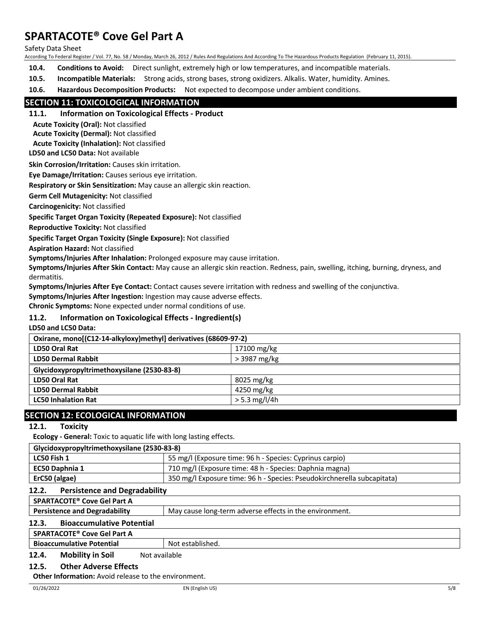Safety Data Sheet

According To Federal Register / Vol. 77, No. 58 / Monday, March 26, 2012 / Rules And Regulations And According To The Hazardous Products Regulation (February 11, 2015).

- **10.4. Conditions to Avoid:** Direct sunlight, extremely high or low temperatures, and incompatible materials.
- **10.5. Incompatible Materials:** Strong acids, strong bases, strong oxidizers. Alkalis. Water, humidity. Amines.

**10.6. Hazardous Decomposition Products:** Not expected to decompose under ambient conditions.

### **SECTION 11: TOXICOLOGICAL INFORMATION**

**11.1. Information on Toxicological Effects - Product**

**Acute Toxicity (Oral):** Not classified

**Acute Toxicity (Dermal):** Not classified

**Acute Toxicity (Inhalation):** Not classified

**LD50 and LC50 Data:** Not available

**Skin Corrosion/Irritation:** Causes skin irritation.

**Eye Damage/Irritation:** Causes serious eye irritation.

**Respiratory or Skin Sensitization:** May cause an allergic skin reaction.

**Germ Cell Mutagenicity:** Not classified

**Carcinogenicity:** Not classified

**Specific Target Organ Toxicity (Repeated Exposure):** Not classified

**Reproductive Toxicity:** Not classified

**Specific Target Organ Toxicity (Single Exposure):** Not classified

**Aspiration Hazard:** Not classified

**Symptoms/Injuries After Inhalation:** Prolonged exposure may cause irritation.

**Symptoms/Injuries After Skin Contact:** May cause an allergic skin reaction. Redness, pain, swelling, itching, burning, dryness, and dermatitis.

**Symptoms/Injuries After Eye Contact:** Contact causes severe irritation with redness and swelling of the conjunctiva.

**Symptoms/Injuries After Ingestion:** Ingestion may cause adverse effects.

**Chronic Symptoms:** None expected under normal conditions of use.

#### **11.2. Information on Toxicological Effects - Ingredient(s)**

**LD50 and LC50 Data:**

| Oxirane, mono[(C12-14-alkyloxy)methyl] derivatives (68609-97-2) |                 |  |
|-----------------------------------------------------------------|-----------------|--|
| <b>LD50 Oral Rat</b>                                            | 17100 mg/kg     |  |
| <b>LD50 Dermal Rabbit</b>                                       | > 3987 mg/kg    |  |
| Glycidoxypropyltrimethoxysilane (2530-83-8)                     |                 |  |
| <b>LD50 Oral Rat</b>                                            | 8025 mg/kg      |  |
| <b>LD50 Dermal Rabbit</b>                                       | 4250 mg/kg      |  |
| <b>LC50 Inhalation Rat</b>                                      | $> 5.3$ mg/l/4h |  |
|                                                                 |                 |  |

## **SECTION 12: ECOLOGICAL INFORMATION**

### **12.1. Toxicity**

**Ecology - General:** Toxic to aquatic life with long lasting effects.

| 350 mg/l Exposure time: 96 h - Species: Pseudokirchnerella subcapitata) |
|-------------------------------------------------------------------------|
|                                                                         |

#### **12.2. Persistence and Degradability**

| SPARTACOTE® Cove Gel Part A               |                                                         |
|-------------------------------------------|---------------------------------------------------------|
| <b>Persistence and Degradability</b>      | May cause long-term adverse effects in the environment. |
| 12.3.<br><b>Bioaccumulative Potential</b> |                                                         |
| CDAPTACOTE® Cove Gel Part A               |                                                         |

## **SPARTACOTE® Cove Gel Part A**

**Bioaccumulative Potential Rightary Research Rightary Bioaccumulative Potential Rightary Rightary Rightary Rightary Rightary Rightary Rightary Rightary Rightary Rightary Rightary Rightary Rightary Rightary Rightary Rightar** 

#### **12.4.** Mobility in Soil Not available

#### **12.5. Other Adverse Effects**

**Other Information:** Avoid release to the environment.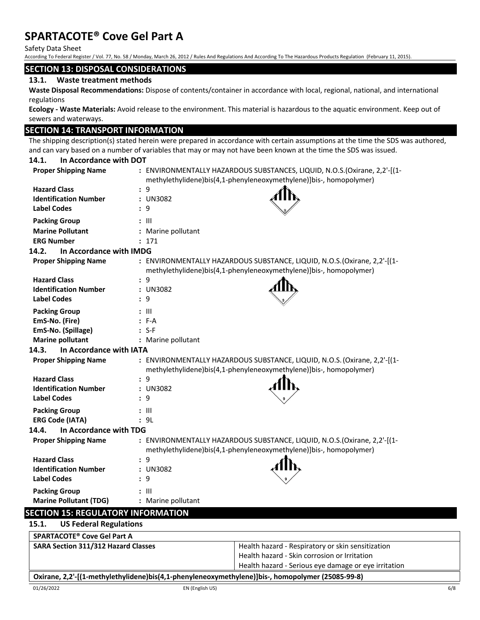Safety Data Sheet

According To Federal Register / Vol. 77, No. 58 / Monday, March 26, 2012 / Rules And Regulations And According To The Hazardous Products Regulation (February 11, 2015).

#### **SECTION 13: DISPOSAL CONSIDERATIONS**

#### **13.1. Waste treatment methods**

**Waste Disposal Recommendations:** Dispose of contents/container in accordance with local, regional, national, and international regulations

**Ecology - Waste Materials:** Avoid release to the environment. This material is hazardous to the aquatic environment. Keep out of sewers and waterways.

### **SECTION 14: TRANSPORT INFORMATION**

The shipping description(s) stated herein were prepared in accordance with certain assumptions at the time the SDS was authored, and can vary based on a number of variables that may or may not have been known at the time the SDS was issued.

## **14.1. In Accordance with DOT Proper Shipping Name :** ENVIRONMENTALLY HAZARDOUS SUBSTANCES, LIQUID, N.O.S.(Oxirane, 2,2'-[(1 methylethylidene)bis(4,1-phenyleneoxymethylene)]bis-, homopolymer) **Hazard Class :** 9 **Identification Number :** UN3082 **Label Codes :** 9 **Packing Group by Eq. (1) :** III **Marine Pollutant :** Marine pollutant **ERG Number :** 171 **14.2. In Accordance with IMDG Proper Shipping Name :** ENVIRONMENTALLY HAZARDOUS SUBSTANCE, LIQUID, N.O.S. (Oxirane, 2,2'-[(1 methylethylidene)bis(4,1-phenyleneoxymethylene)]bis-, homopolymer) **Hazard Class :** 9 **Identification Number :** UN3082 **Label Codes :** 9 **Packing Group :** III **EmS-No. (Fire) :** F-A **EmS-No. (Spillage) :** S-F **Marine pollutant :** Marine pollutant **14.3. In Accordance with IATA Proper Shipping Name :** ENVIRONMENTALLY HAZARDOUS SUBSTANCE, LIQUID, N.O.S. (Oxirane, 2,2'-[(1 methylethylidene)bis(4,1-phenyleneoxymethylene)]bis-, homopolymer) **Hazard Class :** 9 **Identification Number :** UN3082 **Label Codes :** 9 **Packing Group :** III **ERG Code (IATA) :** 9L **14.4. In Accordance with TDG Proper Shipping Name :** ENVIRONMENTALLY HAZARDOUS SUBSTANCE, LIQUID, N.O.S.(Oxirane, 2,2'-[(1 methylethylidene)bis(4,1-phenyleneoxymethylene)]bis-, homopolymer) **Hazard Class :** 9 **Identification Number :** UN3082 **Label Codes :** 9 **Packing Group :** III **Marine Pollutant (TDG) :** Marine pollutant **SECTION 15: REGULATORY INFORMATION**

### **15.1. US Federal Regulations**

| <b>SPARTACOTE<sup>®</sup> Cove Gel Part A</b> |                                                                                                                      |
|-----------------------------------------------|----------------------------------------------------------------------------------------------------------------------|
| <b>SARA Section 311/312 Hazard Classes</b>    | Health hazard - Respiratory or skin sensitization                                                                    |
|                                               | Health hazard - Skin corrosion or Irritation                                                                         |
|                                               | Health hazard - Serious eye damage or eye irritation                                                                 |
|                                               | Output a al Marcello de distribution de la construcción de la constitution de la construcción de la componente de el |

#### **Oxirane, 2,2'-[(1-methylethylidene)bis(4,1-phenyleneoxymethylene)]bis-, homopolymer (25085-99-8)**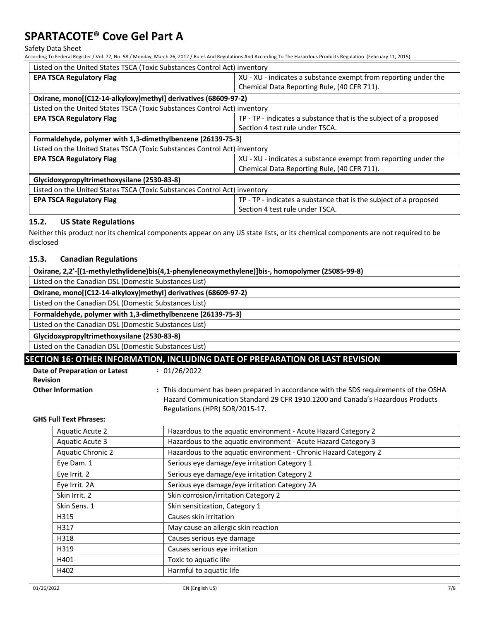Safety Data Sheet

According To Federal Register / Vol. 77, No. 58 / Monday, March 26, 2012 / Rules And Regulations And According To The Hazardous Products Regulation (February 11, 2015).

| Listed on the United States TSCA (Toxic Substances Control Act) inventory |                                                                   |  |  |
|---------------------------------------------------------------------------|-------------------------------------------------------------------|--|--|
| <b>EPA TSCA Regulatory Flag</b>                                           | XU - XU - indicates a substance exempt from reporting under the   |  |  |
|                                                                           | Chemical Data Reporting Rule, (40 CFR 711).                       |  |  |
| Oxirane, mono[(C12-14-alkyloxy)methyl] derivatives (68609-97-2)           |                                                                   |  |  |
| Listed on the United States TSCA (Toxic Substances Control Act) inventory |                                                                   |  |  |
| <b>EPA TSCA Regulatory Flag</b>                                           | TP - TP - indicates a substance that is the subject of a proposed |  |  |
|                                                                           | Section 4 test rule under TSCA.                                   |  |  |
| Formaldehyde, polymer with 1,3-dimethylbenzene (26139-75-3)               |                                                                   |  |  |
| Listed on the United States TSCA (Toxic Substances Control Act) inventory |                                                                   |  |  |
| <b>EPA TSCA Regulatory Flag</b>                                           | XU - XU - indicates a substance exempt from reporting under the   |  |  |
|                                                                           | Chemical Data Reporting Rule, (40 CFR 711).                       |  |  |
| Glycidoxypropyltrimethoxysilane (2530-83-8)                               |                                                                   |  |  |
| Listed on the United States TSCA (Toxic Substances Control Act) inventory |                                                                   |  |  |
| <b>EPA TSCA Regulatory Flag</b>                                           | TP - TP - indicates a substance that is the subject of a proposed |  |  |
|                                                                           | Section 4 test rule under TSCA.                                   |  |  |

## **15.2. US State Regulations**

Neither this product nor its chemical components appear on any US state lists, or its chemical components are not required to be disclosed

## **15.3. Canadian Regulations**

|                                                       | Oxirane, 2,2'-[(1-methylethylidene)bis(4,1-phenyleneoxymethylene)]bis-, homopolymer (25085-99-8) |                                                                                                                                                                                                           |  |  |  |
|-------------------------------------------------------|--------------------------------------------------------------------------------------------------|-----------------------------------------------------------------------------------------------------------------------------------------------------------------------------------------------------------|--|--|--|
| Listed on the Canadian DSL (Domestic Substances List) |                                                                                                  |                                                                                                                                                                                                           |  |  |  |
|                                                       | Oxirane, mono[(C12-14-alkyloxy)methyl] derivatives (68609-97-2)                                  |                                                                                                                                                                                                           |  |  |  |
| Listed on the Canadian DSL (Domestic Substances List) |                                                                                                  |                                                                                                                                                                                                           |  |  |  |
|                                                       | Formaldehyde, polymer with 1,3-dimethylbenzene (26139-75-3)                                      |                                                                                                                                                                                                           |  |  |  |
| Listed on the Canadian DSL (Domestic Substances List) |                                                                                                  |                                                                                                                                                                                                           |  |  |  |
| Glycidoxypropyltrimethoxysilane (2530-83-8)           |                                                                                                  |                                                                                                                                                                                                           |  |  |  |
| Listed on the Canadian DSL (Domestic Substances List) |                                                                                                  |                                                                                                                                                                                                           |  |  |  |
|                                                       | SECTION 16: OTHER INFORMATION, INCLUDING DATE OF PREPARATION OR LAST REVISION                    |                                                                                                                                                                                                           |  |  |  |
|                                                       | Date of Preparation or Latest<br><b>Revision</b>                                                 | : 01/26/2022                                                                                                                                                                                              |  |  |  |
|                                                       | <b>Other Information</b>                                                                         | : This document has been prepared in accordance with the SDS requirements of the OSHA<br>Hazard Communication Standard 29 CFR 1910.1200 and Canada's Hazardous Products<br>Regulations (HPR) SOR/2015-17. |  |  |  |

#### **GHS Full Text Phrases:**

| Aquatic Acute 2          | Hazardous to the aquatic environment - Acute Hazard Category 2   |
|--------------------------|------------------------------------------------------------------|
| Aquatic Acute 3          | Hazardous to the aquatic environment - Acute Hazard Category 3   |
| <b>Aquatic Chronic 2</b> | Hazardous to the aquatic environment - Chronic Hazard Category 2 |
| Eye Dam. 1               | Serious eye damage/eye irritation Category 1                     |
| Eye Irrit. 2             | Serious eye damage/eye irritation Category 2                     |
| Eye Irrit. 2A            | Serious eye damage/eye irritation Category 2A                    |
| Skin Irrit. 2            | Skin corrosion/irritation Category 2                             |
| Skin Sens. 1             | Skin sensitization, Category 1                                   |
| H315                     | Causes skin irritation                                           |
| H317                     | May cause an allergic skin reaction                              |
| H318                     | Causes serious eye damage                                        |
| H319                     | Causes serious eye irritation                                    |
| H401                     | Toxic to aquatic life                                            |
| H402                     | Harmful to aquatic life                                          |